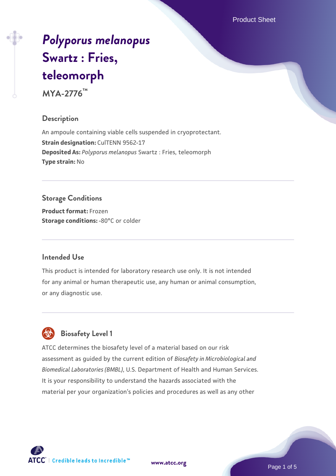Product Sheet

# *[Polyporus melanopus](https://www.atcc.org/products/mya-2776)* **[Swartz : Fries,](https://www.atcc.org/products/mya-2776) [teleomorph](https://www.atcc.org/products/mya-2776)**

**MYA-2776™**

#### **Description**

An ampoule containing viable cells suspended in cryoprotectant. **Strain designation: CulTENN 9562-17 Deposited As:** *Polyporus melanopus* Swartz : Fries, teleomorph **Type strain:** No

# **Storage Conditions**

**Product format:** Frozen **Storage conditions: -80°C** or colder

#### **Intended Use**

This product is intended for laboratory research use only. It is not intended for any animal or human therapeutic use, any human or animal consumption, or any diagnostic use.



# **Biosafety Level 1**

ATCC determines the biosafety level of a material based on our risk assessment as guided by the current edition of *Biosafety in Microbiological and Biomedical Laboratories (BMBL)*, U.S. Department of Health and Human Services. It is your responsibility to understand the hazards associated with the material per your organization's policies and procedures as well as any other

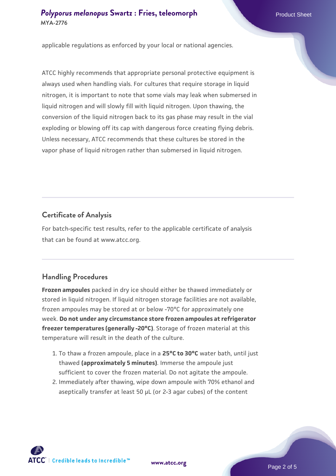#### **[Polyporus melanopus](https://www.atcc.org/products/mya-2776) [Swartz : Fries, teleomorph](https://www.atcc.org/products/mya-2776)** Product Sheet **MYA-2776**

applicable regulations as enforced by your local or national agencies.

ATCC highly recommends that appropriate personal protective equipment is always used when handling vials. For cultures that require storage in liquid nitrogen, it is important to note that some vials may leak when submersed in liquid nitrogen and will slowly fill with liquid nitrogen. Upon thawing, the conversion of the liquid nitrogen back to its gas phase may result in the vial exploding or blowing off its cap with dangerous force creating flying debris. Unless necessary, ATCC recommends that these cultures be stored in the vapor phase of liquid nitrogen rather than submersed in liquid nitrogen.

#### **Certificate of Analysis**

For batch-specific test results, refer to the applicable certificate of analysis that can be found at www.atcc.org.

## **Handling Procedures**

**Frozen ampoules** packed in dry ice should either be thawed immediately or stored in liquid nitrogen. If liquid nitrogen storage facilities are not available, frozen ampoules may be stored at or below -70°C for approximately one week. **Do not under any circumstance store frozen ampoules at refrigerator freezer temperatures (generally -20°C)**. Storage of frozen material at this temperature will result in the death of the culture.

- 1. To thaw a frozen ampoule, place in a **25°C to 30°C** water bath, until just thawed **(approximately 5 minutes)**. Immerse the ampoule just sufficient to cover the frozen material. Do not agitate the ampoule.
- 2. Immediately after thawing, wipe down ampoule with 70% ethanol and aseptically transfer at least 50 µL (or 2-3 agar cubes) of the content

 $\mathsf{ATCC}^*$   $\vdash$  Credible leads to Incredible  $\mathbb {m}$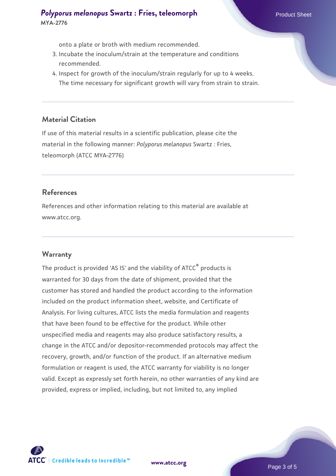#### **[Polyporus melanopus](https://www.atcc.org/products/mya-2776) [Swartz : Fries, teleomorph](https://www.atcc.org/products/mya-2776)** Product Sheet **MYA-2776**

onto a plate or broth with medium recommended.

- 3. Incubate the inoculum/strain at the temperature and conditions recommended.
- 4. Inspect for growth of the inoculum/strain regularly for up to 4 weeks. The time necessary for significant growth will vary from strain to strain.

#### **Material Citation**

If use of this material results in a scientific publication, please cite the material in the following manner: *Polyporus melanopus* Swartz : Fries, teleomorph (ATCC MYA-2776)

#### **References**

References and other information relating to this material are available at www.atcc.org.

#### **Warranty**

The product is provided 'AS IS' and the viability of ATCC<sup>®</sup> products is warranted for 30 days from the date of shipment, provided that the customer has stored and handled the product according to the information included on the product information sheet, website, and Certificate of Analysis. For living cultures, ATCC lists the media formulation and reagents that have been found to be effective for the product. While other unspecified media and reagents may also produce satisfactory results, a change in the ATCC and/or depositor-recommended protocols may affect the recovery, growth, and/or function of the product. If an alternative medium formulation or reagent is used, the ATCC warranty for viability is no longer valid. Except as expressly set forth herein, no other warranties of any kind are provided, express or implied, including, but not limited to, any implied

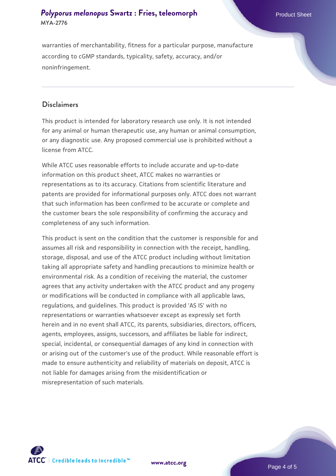## **[Polyporus melanopus](https://www.atcc.org/products/mya-2776) [Swartz : Fries, teleomorph](https://www.atcc.org/products/mya-2776)** Product Sheet **MYA-2776**

warranties of merchantability, fitness for a particular purpose, manufacture according to cGMP standards, typicality, safety, accuracy, and/or noninfringement.

#### **Disclaimers**

This product is intended for laboratory research use only. It is not intended for any animal or human therapeutic use, any human or animal consumption, or any diagnostic use. Any proposed commercial use is prohibited without a license from ATCC.

While ATCC uses reasonable efforts to include accurate and up-to-date information on this product sheet, ATCC makes no warranties or representations as to its accuracy. Citations from scientific literature and patents are provided for informational purposes only. ATCC does not warrant that such information has been confirmed to be accurate or complete and the customer bears the sole responsibility of confirming the accuracy and completeness of any such information.

This product is sent on the condition that the customer is responsible for and assumes all risk and responsibility in connection with the receipt, handling, storage, disposal, and use of the ATCC product including without limitation taking all appropriate safety and handling precautions to minimize health or environmental risk. As a condition of receiving the material, the customer agrees that any activity undertaken with the ATCC product and any progeny or modifications will be conducted in compliance with all applicable laws, regulations, and guidelines. This product is provided 'AS IS' with no representations or warranties whatsoever except as expressly set forth herein and in no event shall ATCC, its parents, subsidiaries, directors, officers, agents, employees, assigns, successors, and affiliates be liable for indirect, special, incidental, or consequential damages of any kind in connection with or arising out of the customer's use of the product. While reasonable effort is made to ensure authenticity and reliability of materials on deposit, ATCC is not liable for damages arising from the misidentification or misrepresentation of such materials.



**[www.atcc.org](http://www.atcc.org)**

Page 4 of 5